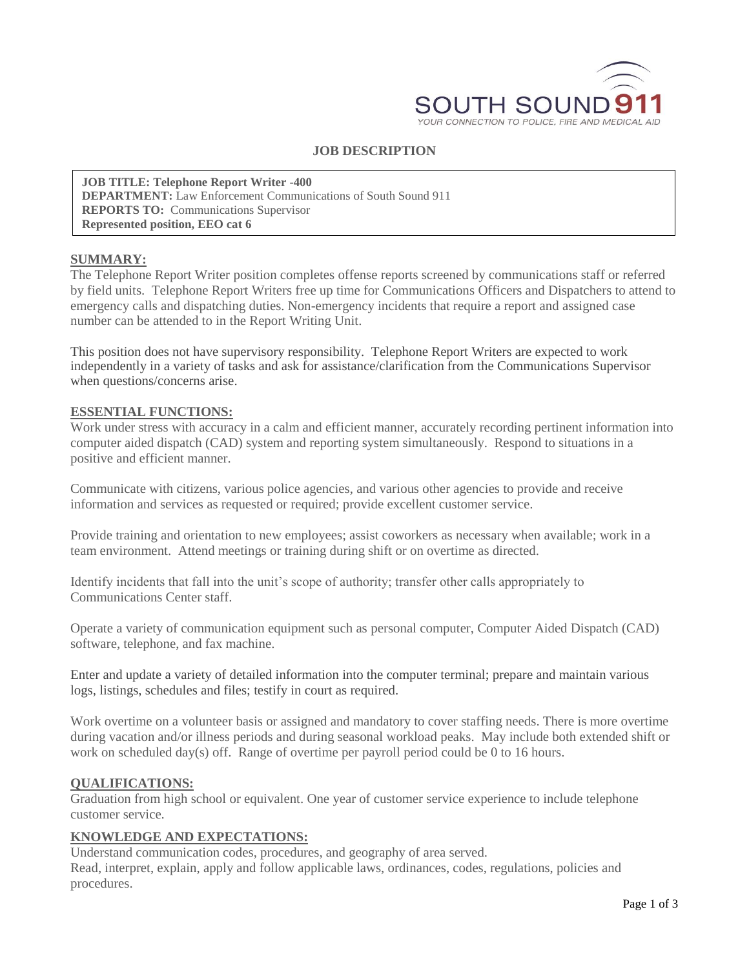

# **JOB DESCRIPTION**

**JOB TITLE: Telephone Report Writer -400 DEPARTMENT:** Law Enforcement Communications of South Sound 911 **REPORTS TO:** Communications Supervisor **Represented position, EEO cat 6**

#### **SUMMARY:**

The Telephone Report Writer position completes offense reports screened by communications staff or referred by field units. Telephone Report Writers free up time for Communications Officers and Dispatchers to attend to emergency calls and dispatching duties. Non-emergency incidents that require a report and assigned case number can be attended to in the Report Writing Unit.

This position does not have supervisory responsibility. Telephone Report Writers are expected to work independently in a variety of tasks and ask for assistance/clarification from the Communications Supervisor when questions/concerns arise.

#### **ESSENTIAL FUNCTIONS:**

Work under stress with accuracy in a calm and efficient manner, accurately recording pertinent information into computer aided dispatch (CAD) system and reporting system simultaneously. Respond to situations in a positive and efficient manner.

Communicate with citizens, various police agencies, and various other agencies to provide and receive information and services as requested or required; provide excellent customer service.

Provide training and orientation to new employees; assist coworkers as necessary when available; work in a team environment. Attend meetings or training during shift or on overtime as directed.

Identify incidents that fall into the unit's scope of authority; transfer other calls appropriately to Communications Center staff.

Operate a variety of communication equipment such as personal computer, Computer Aided Dispatch (CAD) software, telephone, and fax machine.

Enter and update a variety of detailed information into the computer terminal; prepare and maintain various logs, listings, schedules and files; testify in court as required.

Work overtime on a volunteer basis or assigned and mandatory to cover staffing needs. There is more overtime during vacation and/or illness periods and during seasonal workload peaks. May include both extended shift or work on scheduled day(s) off. Range of overtime per payroll period could be 0 to 16 hours.

#### **QUALIFICATIONS:**

Graduation from high school or equivalent. One year of customer service experience to include telephone customer service.

#### **KNOWLEDGE AND EXPECTATIONS:**

Understand communication codes, procedures, and geography of area served. Read, interpret, explain, apply and follow applicable laws, ordinances, codes, regulations, policies and procedures.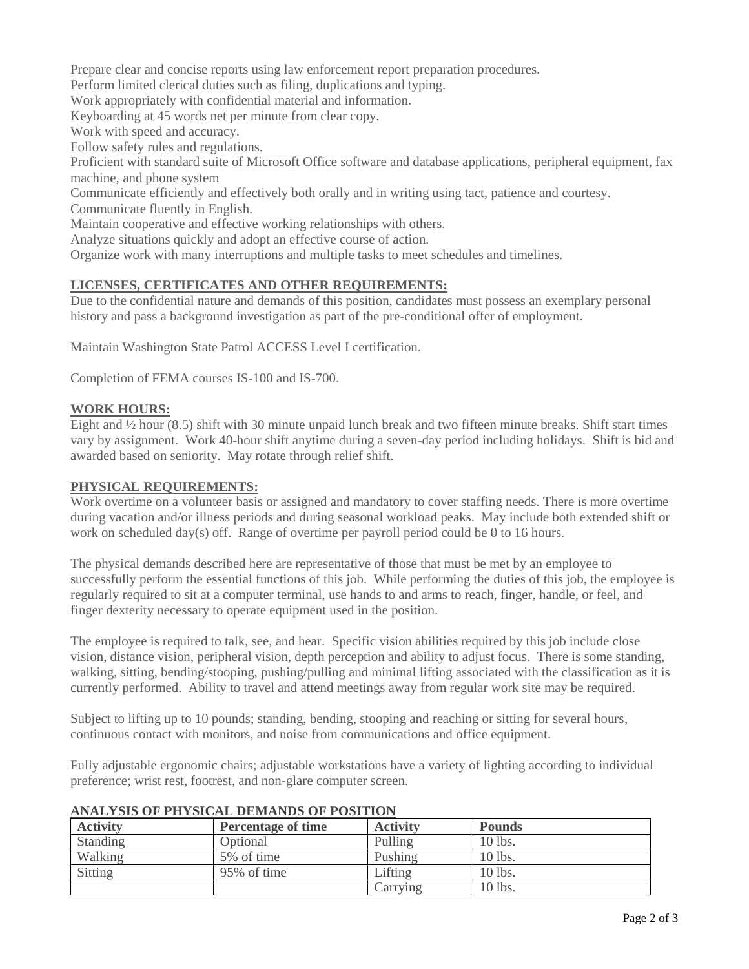Prepare clear and concise reports using law enforcement report preparation procedures.

Perform limited clerical duties such as filing, duplications and typing.

Work appropriately with confidential material and information.

Keyboarding at 45 words net per minute from clear copy.

Work with speed and accuracy.

Follow safety rules and regulations.

Proficient with standard suite of Microsoft Office software and database applications, peripheral equipment, fax machine, and phone system

Communicate efficiently and effectively both orally and in writing using tact, patience and courtesy.

Communicate fluently in English.

Maintain cooperative and effective working relationships with others.

Analyze situations quickly and adopt an effective course of action.

Organize work with many interruptions and multiple tasks to meet schedules and timelines.

## **LICENSES, CERTIFICATES AND OTHER REQUIREMENTS:**

Due to the confidential nature and demands of this position, candidates must possess an exemplary personal history and pass a background investigation as part of the pre-conditional offer of employment.

Maintain Washington State Patrol ACCESS Level I certification.

Completion of FEMA courses IS-100 and IS-700.

### **WORK HOURS:**

Eight and ½ hour (8.5) shift with 30 minute unpaid lunch break and two fifteen minute breaks. Shift start times vary by assignment. Work 40-hour shift anytime during a seven-day period including holidays. Shift is bid and awarded based on seniority. May rotate through relief shift.

#### **PHYSICAL REQUIREMENTS:**

Work overtime on a volunteer basis or assigned and mandatory to cover staffing needs. There is more overtime during vacation and/or illness periods and during seasonal workload peaks. May include both extended shift or work on scheduled day(s) off. Range of overtime per payroll period could be 0 to 16 hours.

The physical demands described here are representative of those that must be met by an employee to successfully perform the essential functions of this job. While performing the duties of this job, the employee is regularly required to sit at a computer terminal, use hands to and arms to reach, finger, handle, or feel, and finger dexterity necessary to operate equipment used in the position.

The employee is required to talk, see, and hear. Specific vision abilities required by this job include close vision, distance vision, peripheral vision, depth perception and ability to adjust focus. There is some standing, walking, sitting, bending/stooping, pushing/pulling and minimal lifting associated with the classification as it is currently performed. Ability to travel and attend meetings away from regular work site may be required.

Subject to lifting up to 10 pounds; standing, bending, stooping and reaching or sitting for several hours, continuous contact with monitors, and noise from communications and office equipment.

Fully adjustable ergonomic chairs; adjustable workstations have a variety of lighting according to individual preference; wrist rest, footrest, and non-glare computer screen.

| <b>Activity</b> | <b>Percentage of time</b> | <b>Activity</b> | <b>Pounds</b> |  |
|-----------------|---------------------------|-----------------|---------------|--|
| Standing        | Optional                  | Pulling         | 10 lbs.       |  |
| Walking         | 5% of time                | Pushing         | 10 lbs.       |  |
| Sitting         | 95% of time               | Lifting         | 10 lbs.       |  |
|                 |                           | Carrying        | 10 lbs.       |  |

### **ANALYSIS OF PHYSICAL DEMANDS OF POSITION**